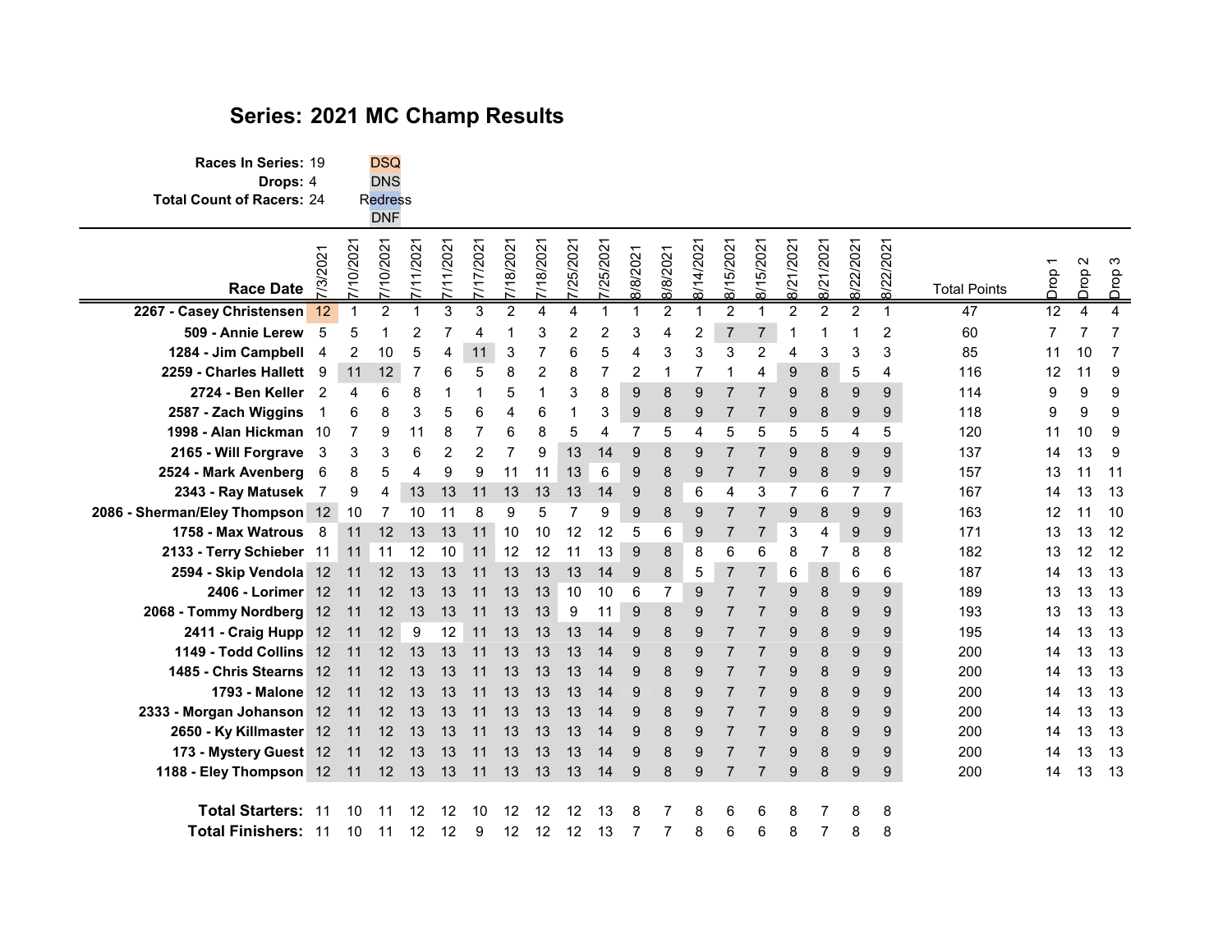## Series: 2021 MC Champ Results

Races In Series: 19 DSQ<br>Drops: 4 DNS Drops: 4 Total Count of Racers: 24 R<mark>edress</mark><br>DNF

| <b>Race Date</b>                                | 7/3/202 | 7/10/202               | 7/10/202 | 7/11/202 | 1/202 | 7/17/202 | 18/202 | 7/18/202 | "/25/202 | "/25/202 | 8/8/202          | 8/8/202 | 8/14/202 | $\mathbf{\Omega}$<br>5/20<br>$\frac{8}{1}$ | 8/15/202 | 8/21/202     | 8/21/2021    | 2/202<br>Ċ,<br>ळ | 8/22/202                 | <b>Total Points</b> | Drop | $\sim$<br>po<br>ō | S<br>pop<br>ā  |  |
|-------------------------------------------------|---------|------------------------|----------|----------|-------|----------|--------|----------|----------|----------|------------------|---------|----------|--------------------------------------------|----------|--------------|--------------|------------------|--------------------------|---------------------|------|-------------------|----------------|--|
| 2267 - Casey Christensen 12                     |         |                        |          |          |       |          |        |          |          |          |                  |         |          |                                            |          |              |              |                  |                          | 47                  | 12   | 4                 |                |  |
| 509 - Annie Lerew 5                             |         |                        |          |          |       |          |        |          |          |          |                  |         | 2        |                                            |          |              |              |                  | 2                        | 60                  |      |                   |                |  |
| 1284 - Jim Campbell 4                           |         | 2                      | 10       | 5        |       | 11       | 3      |          |          |          |                  |         |          |                                            |          |              |              | 3                | 3                        | 85                  | 11   | 10                | $\overline{7}$ |  |
| 2259 - Charles Hallett 9                        |         | 11                     | 12       |          |       |          |        |          |          |          |                  |         |          |                                            |          | $\mathbf{Q}$ | 8            | 5                | $\overline{\mathcal{L}}$ | 116                 | 12   | 11                | - 9            |  |
| 2724 - Ben Keller 2                             |         | $\boldsymbol{\Lambda}$ |          |          |       |          |        |          | 3        |          | 9                |         |          |                                            |          |              | 8            | 9                | 9                        | 114                 | 9    | 9                 | 9              |  |
| 2587 - Zach Wiggins                             |         |                        |          | З        |       |          |        |          |          | 3        | 9                | 8       | 9        |                                            |          |              | 8            | 9                | 9                        | 118                 | 9    | 9                 | 9              |  |
| 1998 - Alan Hickman 10                          |         | -7                     | g        | 11       | 8     |          |        |          | 5        |          |                  |         |          |                                            |          |              | 5            | 4                | 5                        | 120                 | 11   | 10                | -9             |  |
| 2165 - Will Forgrave 3                          |         | 3                      |          | 6        |       |          |        | я        | 13       | 14       | 9                |         |          |                                            |          |              | $\mathsf{R}$ | g                | q                        | 137                 | 14   | 13                | - 9            |  |
| 2524 - Mark Avenberg 6                          |         | 8                      |          |          | 9     | 9        | 11     | 11       | 13       | 6        | $\boldsymbol{9}$ |         | 9        |                                            |          |              | 8            | 9                | 9                        | 157                 | 13   | 11                | $-11$          |  |
| 2343 - Ray Matusek                              |         | 9                      | 4        | 13       | 13    | 11       | 13     | 13       | 13       | 14       | 9                |         | 6        |                                            |          |              | 6            |                  |                          | 167                 | 14   | 13                | 13             |  |
| 2086 - Sherman/Eley Thompson 12 10              |         |                        | 7        | 10       | 11    | 8        | 9      | 5        |          | 9        | 9                | 8       | 9        |                                            |          |              | 8            | 9                | 9                        | 163                 | 12   | 11                | -10            |  |
| 1758 - Max Watrous 8                            |         | 11                     | 12       | 13       | 13    | 11       | 10     | 10       | 12       | 12       | 5                | 6       | 9        |                                            |          | 3            |              | 9                | 9                        | 171                 | 13   | 13                | 12             |  |
| 2133 - Terry Schieber 11 11 11 12               |         |                        |          |          | 10    | 11 12    |        | 12       | 11       | 13       | 9                |         | 8        |                                            |          |              |              | 8                | 8                        | 182                 | 13   | 12 12             |                |  |
| 2594 - Skip Vendola 12 11 12                    |         |                        |          | 13       | 13    | 11       | 13     | 13       | 13       | 14       | 9                | 8       | 5        |                                            |          | 6            | 8            | 6                | 6                        | 187                 | 14   | 13                | 13             |  |
| 2406 - Lorimer 12 11 12                         |         |                        |          | 13       | 13    | 11       | 13     | 13       | 10       | 10       | 6                |         | 9        |                                            |          |              | 8            | 9                | 9                        | 189                 | 13   | 13                | 13             |  |
| 2068 - Tommy Nordberg 12 11 12 13               |         |                        |          |          | 13    | 11       | 13     | 13       | 9        | 11       | 9                | 8       | 9        |                                            |          |              | 8            | 9                | 9                        | 193                 | 13   | 13                | -13            |  |
| 2411 - Craig Hupp 12 11 12 9                    |         |                        |          |          | 12    | 11       | 13     | 13       | 13       | 14       | 9                |         | 9        |                                            |          |              | 8            | 9                | <sub>9</sub>             | 195                 | 14   | 13 13             |                |  |
| <b>1149 - Todd Collins 12 11</b>                |         |                        | 12       | 13       | 13    | 11       | 13     | 13       | 13       | 14       | 9                |         |          |                                            |          |              | 8            | 9                | -9                       | 200                 | 14   | 13                | -13            |  |
| 1485 - Chris Stearns 12 11                      |         |                        | 12       | 13       | 13    | 11       | 13     | 13       | 13       | 14       | 9                |         |          |                                            |          |              | 8            | 9                | 9                        | 200                 | 14   | 13                | 13             |  |
| 1793 - Malone 12 11                             |         |                        | 12       | 13       | 13    | 11       | 13     | 13       | 13       | 14       | 9                |         |          |                                            |          |              | 8            | 9                | 9                        | 200                 | 14   | 13                | -13            |  |
| 2333 - Morgan Johanson 12 11 12 13              |         |                        |          |          | 13    | 11       | 13     | 13       | 13       | 14       | 9                |         |          |                                            |          |              | 8            | 9                | 9                        | 200                 | 14   | 13                | 13             |  |
| 2650 - Ky Killmaster 12 11 12                   |         |                        |          | 13       | 13    | 11       | 13     | 13       | 13       | 14       | 9                |         | 9        |                                            |          |              | 8            | 9                | 9                        | 200                 | 14   | 13 13             |                |  |
| 173 - Mystery Guest 12 11 12 13 13              |         |                        |          |          |       | 11       | 13     | 13       | 13       | 14       | 9                | 8       | 9        |                                            |          |              | 8            | 9                | -9                       | 200                 | 14   | 13 13             |                |  |
| 1188 - Eley Thompson 12 11 12 13 13 11 13 13 13 |         |                        |          |          |       |          |        |          |          | 14       | 9                |         | 9        |                                            |          |              | 8            | 9                | 9                        | 200                 | 14   | 13 13             |                |  |
| <b>Total Starters: 11</b>                       |         | 10                     |          |          | 12    |          | 12     |          | 12       |          |                  |         |          |                                            |          |              |              |                  | 8                        |                     |      |                   |                |  |
| <b>Total Finishers: 11</b>                      |         | 10                     | -11      | -12      | 12    | 9        | 12     | 12       | 12       | 13       |                  |         | 8        |                                            |          |              |              | 8                | 8                        |                     |      |                   |                |  |
|                                                 |         |                        |          |          |       |          |        |          |          |          |                  |         |          |                                            |          |              |              |                  |                          |                     |      |                   |                |  |